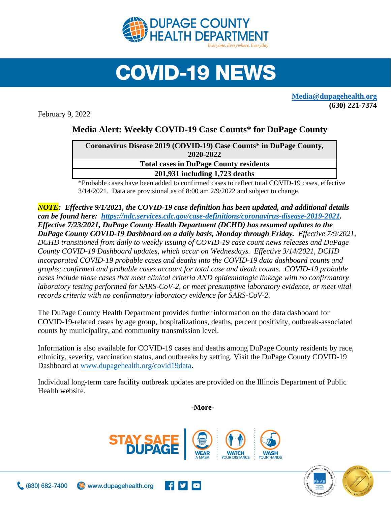

## **COVID-19 NEWS**

**[Media@dupagehealth.org](mailto:Media@dupagehealth.org) (630) 221-7374**

February 9, 2022

## **Media Alert: Weekly COVID-19 Case Counts\* for DuPage County**

| Coronavirus Disease 2019 (COVID-19) Case Counts* in DuPage County, |
|--------------------------------------------------------------------|
| 2020-2022                                                          |
| <b>Total cases in DuPage County residents</b>                      |
| 201,931 including 1,723 deaths                                     |
|                                                                    |

\*Probable cases have been added to confirmed cases to reflect total COVID-19 cases, effective 3/14/2021. Data are provisional as of 8:00 am 2/9/2022 and subject to change.

*NOTE: Effective 9/1/2021, the COVID-19 case definition has been updated, and additional details can be found here: [https://ndc.services.cdc.gov/case-definitions/coronavirus-disease-2019-2021.](https://ndc.services.cdc.gov/case-definitions/coronavirus-disease-2019-2021) Effective 7/23/2021, DuPage County Health Department (DCHD) has resumed updates to the DuPage County COVID-19 Dashboard on a daily basis, Monday through Friday. Effective 7/9/2021, DCHD transitioned from daily to weekly issuing of COVID-19 case count news releases and DuPage County COVID-19 Dashboard updates, which occur on Wednesdays. Effective 3/14/2021, DCHD incorporated COVID-19 probable cases and deaths into the [COVID-19 data dashboard](http://www.dupagehealth.org/covid19data) counts and graphs; confirmed and probable cases account for total case and death counts. COVID-19 probable cases include those cases that meet clinical criteria AND epidemiologic linkage with no confirmatory laboratory testing performed for SARS-CoV-2, or meet presumptive laboratory evidence, or meet vital records criteria with no confirmatory laboratory evidence for SARS-CoV-2.*

The DuPage County Health Department provides further information on the data dashboard for COVID-19-related cases by age group, hospitalizations, deaths, percent positivity, outbreak-associated counts by municipality, and community transmission level.

Information is also available for COVID-19 cases and deaths among DuPage County residents by race, ethnicity, severity, vaccination status, and outbreaks by setting. Visit the DuPage County COVID-19 Dashboard at [www.dupagehealth.org/covid19data.](http://www.dupagehealth.org/covid19data)

Individual long-term care facility outbreak updates are provided on the Illinois Department of Public Health website.

**-More-**